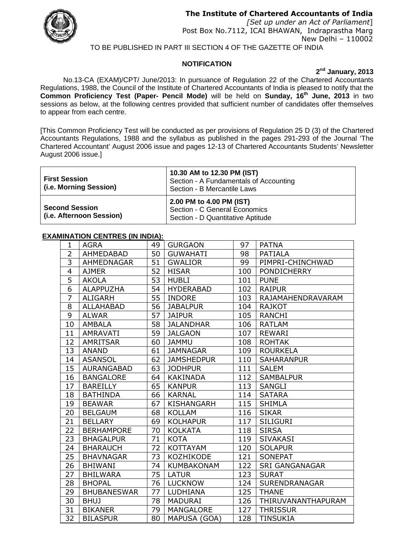**The Institute of Chartered Accountants of India** *[Set up under an Act of Parliament*] Post Box No.7112, ICAI BHAWAN, Indraprastha Marg New Delhi – 110002

TO BE PUBLISHED IN PART III SECTION 4 OF THE GAZETTE OF INDIA

## **NOTIFICATION**

# **2 nd January, 2013**

No.13-CA (EXAM)/CPT/ June/2013: In pursuance of Regulation 22 of the Chartered Accountants Regulations, 1988, the Council of the Institute of Chartered Accountants of India is pleased to notify that the **Common Proficiency Test (Paper- Pencil Mode)** will be held on **Sunday, 16 th June, 2013** in two sessions as below, at the following centres provided that sufficient number of candidates offer themselves to appear from each centre.

[This Common Proficiency Test will be conducted as per provisions of Regulation 25 D (3) of the Chartered Accountants Regulations, 1988 and the syllabus as published in the pages 291-293 of the Journal 'The Chartered Accountant' August 2006 issue and pages 12-13 of Chartered Accountants Students' Newsletter August 2006 issue.]

| <b>First Session</b><br>(i.e. Morning Session)    | 10.30 AM to 12.30 PM (IST)<br>Section - A Fundamentals of Accounting<br>Section - B Mercantile Laws |
|---------------------------------------------------|-----------------------------------------------------------------------------------------------------|
| <b>Second Session</b><br>(i.e. Afternoon Session) | 2.00 PM to 4.00 PM (IST)<br>Section - C General Economics<br>Section - D Quantitative Aptitude      |

### **EXAMINATION CENTRES (IN INDIA):**

| $\mathbf 1$    | <b>AGRA</b>        | 49              | <b>GURGAON</b>    | 97  | <b>PATNA</b>          |
|----------------|--------------------|-----------------|-------------------|-----|-----------------------|
| $\overline{2}$ | AHMEDABAD          | $\overline{50}$ | <b>GUWAHATI</b>   | 98  | <b>PATIALA</b>        |
| $\overline{3}$ | AHMEDNAGAR         | 51              | <b>GWALIOR</b>    | 99  | PIMPRI-CHINCHWAD      |
| 4              | <b>AJMER</b>       | 52              | <b>HISAR</b>      | 100 | <b>PONDICHERRY</b>    |
| $\overline{5}$ | <b>AKOLA</b>       | 53              | <b>HUBLI</b>      | 101 | <b>PUNE</b>           |
| $\overline{6}$ | <b>ALAPPUZHA</b>   | 54              | <b>HYDERABAD</b>  | 102 | <b>RAIPUR</b>         |
| $\overline{7}$ | ALIGARH            | 55              | <b>INDORE</b>     | 103 | RAJAMAHENDRAVARAM     |
| 8              | <b>ALLAHABAD</b>   | 56              | <b>JABALPUR</b>   | 104 | <b>RAJKOT</b>         |
| 9              | <b>ALWAR</b>       | 57              | <b>JAIPUR</b>     | 105 | <b>RANCHI</b>         |
| 10             | AMBALA             | 58              | <b>JALANDHAR</b>  | 106 | <b>RATLAM</b>         |
| 11             | <b>AMRAVATI</b>    | 59              | <b>JALGAON</b>    | 107 | <b>REWARI</b>         |
| 12             | <b>AMRITSAR</b>    | 60              | JAMMU             | 108 | <b>ROHTAK</b>         |
| 13             | <b>ANAND</b>       | 61              | <b>JAMNAGAR</b>   | 109 | <b>ROURKELA</b>       |
| 14             | <b>ASANSOL</b>     | 62              | <b>JAMSHEDPUR</b> | 110 | <b>SAHARANPUR</b>     |
| 15             | AURANGABAD         | 63              | <b>JODHPUR</b>    | 111 | <b>SALEM</b>          |
| 16             | <b>BANGALORE</b>   | 64              | <b>KAKINADA</b>   | 112 | <b>SAMBALPUR</b>      |
| 17             | <b>BAREILLY</b>    | 65              | <b>KANPUR</b>     | 113 | <b>SANGLI</b>         |
| 18             | <b>BATHINDA</b>    | 66              | <b>KARNAL</b>     | 114 | <b>SATARA</b>         |
| 19             | <b>BEAWAR</b>      | 67              | <b>KISHANGARH</b> | 115 | <b>SHIMLA</b>         |
| 20             | <b>BELGAUM</b>     | 68              | <b>KOLLAM</b>     | 116 | <b>SIKAR</b>          |
| 21             | <b>BELLARY</b>     | 69              | <b>KOLHAPUR</b>   | 117 | <b>SILIGURI</b>       |
| 22             | <b>BERHAMPORE</b>  | 70              | <b>KOLKATA</b>    | 118 | <b>SIRSA</b>          |
| 23             | <b>BHAGALPUR</b>   | 71              | <b>KOTA</b>       | 119 | <b>SIVAKASI</b>       |
| 24             | <b>BHARAUCH</b>    | 72              | <b>KOTTAYAM</b>   | 120 | <b>SOLAPUR</b>        |
| 25             | <b>BHAVNAGAR</b>   | 73              | <b>KOZHIKODE</b>  | 121 | <b>SONEPAT</b>        |
| 26             | <b>BHIWANI</b>     | 74              | <b>KUMBAKONAM</b> | 122 | <b>SRI GANGANAGAR</b> |
| 27             | <b>BHILWARA</b>    | 75              | <b>LATUR</b>      | 123 | <b>SURAT</b>          |
| 28             | <b>BHOPAL</b>      | 76              | <b>LUCKNOW</b>    | 124 | SURENDRANAGAR         |
| 29             | <b>BHUBANESWAR</b> | 77              | LUDHIANA          | 125 | <b>THANE</b>          |
| 30             | <b>BHUJ</b>        | 78              | <b>MADURAI</b>    | 126 | THIRUVANANTHAPURAM    |
| 31             | <b>BIKANER</b>     | 79              | <b>MANGALORE</b>  | 127 | <b>THRISSUR</b>       |
| 32             | <b>BILASPUR</b>    | 80              | MAPUSA (GOA)      | 128 | <b>TINSUKIA</b>       |